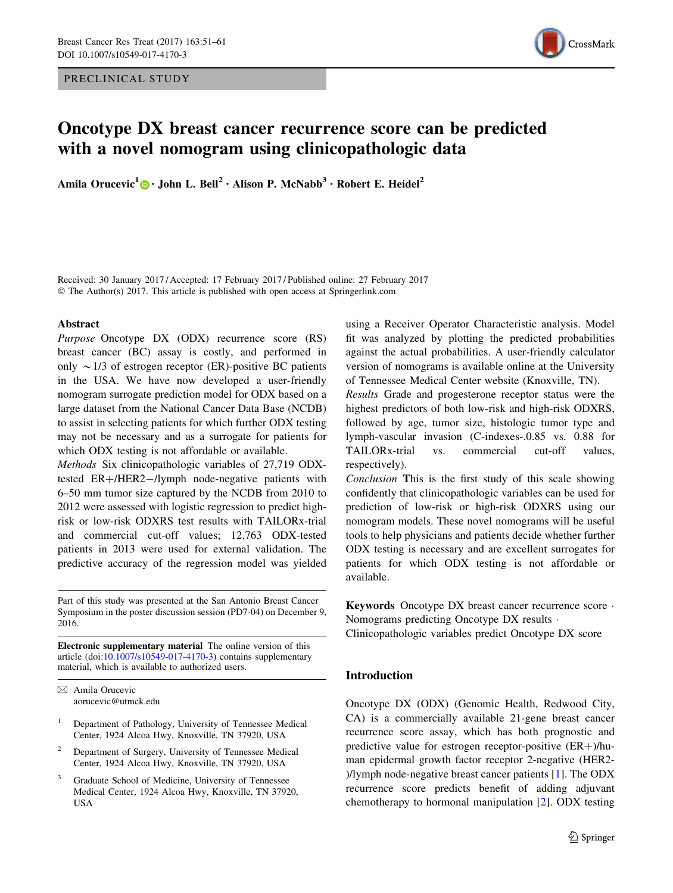PRECLINICAL STUDY



# Oncotype DX breast cancer recurrence score can be predicted with a novel nomogram using clinicopathologic data

Amila Orucevic<sup>1</sup>  $\mathbf{D} \cdot \mathbf{John}$  L. Bell<sup>2</sup> • Alison P. McNabb<sup>3</sup> • Robert E. Heidel<sup>2</sup>

Received: 30 January 2017 / Accepted: 17 February 2017 / Published online: 27 February 2017 © The Author(s) 2017. This article is published with open access at Springerlink.com

### Abstract

Purpose Oncotype DX (ODX) recurrence score (RS) breast cancer (BC) assay is costly, and performed in only  $\sim$  1/3 of estrogen receptor (ER)-positive BC patients in the USA. We have now developed a user-friendly nomogram surrogate prediction model for ODX based on a large dataset from the National Cancer Data Base (NCDB) to assist in selecting patients for which further ODX testing may not be necessary and as a surrogate for patients for which ODX testing is not affordable or available.

Methods Six clinicopathologic variables of 27,719 ODXtested  $ER+/HER2-/lymph$  node-negative patients with 6–50 mm tumor size captured by the NCDB from 2010 to 2012 were assessed with logistic regression to predict highrisk or low-risk ODXRS test results with TAILORx-trial and commercial cut-off values; 12,763 ODX-tested patients in 2013 were used for external validation. The predictive accuracy of the regression model was yielded

Part of this study was presented at the San Antonio Breast Cancer Symposium in the poster discussion session (PD7-04) on December 9, 2016.

Electronic supplementary material The online version of this article (doi:[10.1007/s10549-017-4170-3\)](http://dx.doi.org/10.1007/s10549-017-4170-3) contains supplementary material, which is available to authorized users.

& Amila Orucevic aorucevic@utmck.edu

- <sup>1</sup> Department of Pathology, University of Tennessee Medical Center, 1924 Alcoa Hwy, Knoxville, TN 37920, USA
- <sup>2</sup> Department of Surgery, University of Tennessee Medical Center, 1924 Alcoa Hwy, Knoxville, TN 37920, USA
- Graduate School of Medicine, University of Tennessee Medical Center, 1924 Alcoa Hwy, Knoxville, TN 37920, USA

using a Receiver Operator Characteristic analysis. Model fit was analyzed by plotting the predicted probabilities against the actual probabilities. A user-friendly calculator version of nomograms is available online at the University of Tennessee Medical Center website (Knoxville, TN).

Results Grade and progesterone receptor status were the highest predictors of both low-risk and high-risk ODXRS, followed by age, tumor size, histologic tumor type and lymph-vascular invasion (C-indexes-.0.85 vs. 0.88 for TAILORx-trial vs. commercial cut-off values, respectively).

Conclusion This is the first study of this scale showing confidently that clinicopathologic variables can be used for prediction of low-risk or high-risk ODXRS using our nomogram models. These novel nomograms will be useful tools to help physicians and patients decide whether further ODX testing is necessary and are excellent surrogates for patients for which ODX testing is not affordable or available.

Keywords Oncotype DX breast cancer recurrence score - Nomograms predicting Oncotype DX results -

Clinicopathologic variables predict Oncotype DX score

## Introduction

Oncotype DX (ODX) (Genomic Health, Redwood City, CA) is a commercially available 21-gene breast cancer recurrence score assay, which has both prognostic and predictive value for estrogen receptor-positive  $(ER+)$ /human epidermal growth factor receptor 2-negative (HER2- )/lymph node-negative breast cancer patients [\[1](#page-8-0)]. The ODX recurrence score predicts benefit of adding adjuvant chemotherapy to hormonal manipulation [[2\]](#page-8-0). ODX testing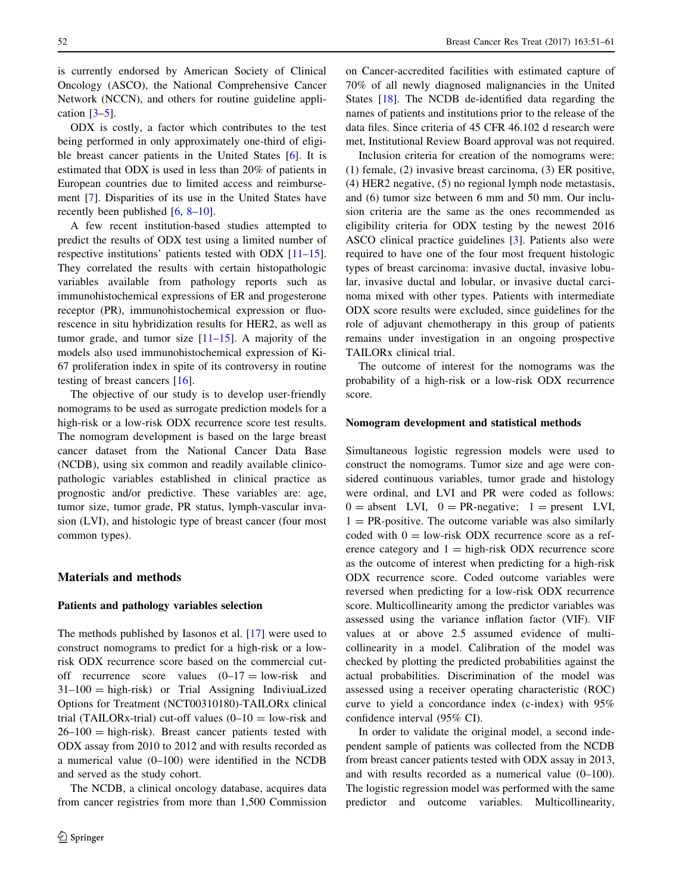is currently endorsed by American Society of Clinical Oncology (ASCO), the National Comprehensive Cancer Network (NCCN), and others for routine guideline application  $[3-5]$ .

ODX is costly, a factor which contributes to the test being performed in only approximately one-third of eligible breast cancer patients in the United States [\[6](#page-9-0)]. It is estimated that ODX is used in less than 20% of patients in European countries due to limited access and reimbursement [\[7](#page-9-0)]. Disparities of its use in the United States have recently been published [\[6](#page-9-0), [8–10](#page-9-0)].

A few recent institution-based studies attempted to predict the results of ODX test using a limited number of respective institutions' patients tested with ODX [\[11–15](#page-9-0)]. They correlated the results with certain histopathologic variables available from pathology reports such as immunohistochemical expressions of ER and progesterone receptor (PR), immunohistochemical expression or fluorescence in situ hybridization results for HER2, as well as tumor grade, and tumor size  $[11–15]$  $[11–15]$ . A majority of the models also used immunohistochemical expression of Ki-67 proliferation index in spite of its controversy in routine testing of breast cancers [[16\]](#page-9-0).

The objective of our study is to develop user-friendly nomograms to be used as surrogate prediction models for a high-risk or a low-risk ODX recurrence score test results. The nomogram development is based on the large breast cancer dataset from the National Cancer Data Base (NCDB), using six common and readily available clinicopathologic variables established in clinical practice as prognostic and/or predictive. These variables are: age, tumor size, tumor grade, PR status, lymph-vascular invasion (LVI), and histologic type of breast cancer (four most common types).

#### Materials and methods

# Patients and pathology variables selection

The methods published by Iasonos et al. [\[17](#page-9-0)] were used to construct nomograms to predict for a high-risk or a lowrisk ODX recurrence score based on the commercial cutoff recurrence score values  $(0-17) =$ low-risk and 31–100 = high-risk) or Trial Assigning IndiviuaLized Options for Treatment (NCT00310180)-TAILORx clinical trial (TAILORx-trial) cut-off values  $(0-10)$  = low-risk and  $26-100 =$  high-risk). Breast cancer patients tested with ODX assay from 2010 to 2012 and with results recorded as a numerical value (0–100) were identified in the NCDB and served as the study cohort.

The NCDB, a clinical oncology database, acquires data from cancer registries from more than 1,500 Commission on Cancer-accredited facilities with estimated capture of 70% of all newly diagnosed malignancies in the United States [\[18](#page-9-0)]. The NCDB de-identified data regarding the names of patients and institutions prior to the release of the data files. Since criteria of 45 CFR 46.102 d research were met, Institutional Review Board approval was not required.

Inclusion criteria for creation of the nomograms were: (1) female, (2) invasive breast carcinoma, (3) ER positive, (4) HER2 negative, (5) no regional lymph node metastasis, and (6) tumor size between 6 mm and 50 mm. Our inclusion criteria are the same as the ones recommended as eligibility criteria for ODX testing by the newest 2016 ASCO clinical practice guidelines [\[3](#page-9-0)]. Patients also were required to have one of the four most frequent histologic types of breast carcinoma: invasive ductal, invasive lobular, invasive ductal and lobular, or invasive ductal carcinoma mixed with other types. Patients with intermediate ODX score results were excluded, since guidelines for the role of adjuvant chemotherapy in this group of patients remains under investigation in an ongoing prospective TAILORx clinical trial.

The outcome of interest for the nomograms was the probability of a high-risk or a low-risk ODX recurrence score.

## Nomogram development and statistical methods

Simultaneous logistic regression models were used to construct the nomograms. Tumor size and age were considered continuous variables, tumor grade and histology were ordinal, and LVI and PR were coded as follows:  $0 =$  absent LVI,  $0 = PR$ -negative;  $1 =$  present LVI,  $1 = PR$ -positive. The outcome variable was also similarly coded with  $0 =$  low-risk ODX recurrence score as a reference category and  $1 =$  high-risk ODX recurrence score as the outcome of interest when predicting for a high-risk ODX recurrence score. Coded outcome variables were reversed when predicting for a low-risk ODX recurrence score. Multicollinearity among the predictor variables was assessed using the variance inflation factor (VIF). VIF values at or above 2.5 assumed evidence of multicollinearity in a model. Calibration of the model was checked by plotting the predicted probabilities against the actual probabilities. Discrimination of the model was assessed using a receiver operating characteristic (ROC) curve to yield a concordance index (c-index) with 95% confidence interval (95% CI).

In order to validate the original model, a second independent sample of patients was collected from the NCDB from breast cancer patients tested with ODX assay in 2013, and with results recorded as a numerical value (0–100). The logistic regression model was performed with the same predictor and outcome variables. Multicollinearity,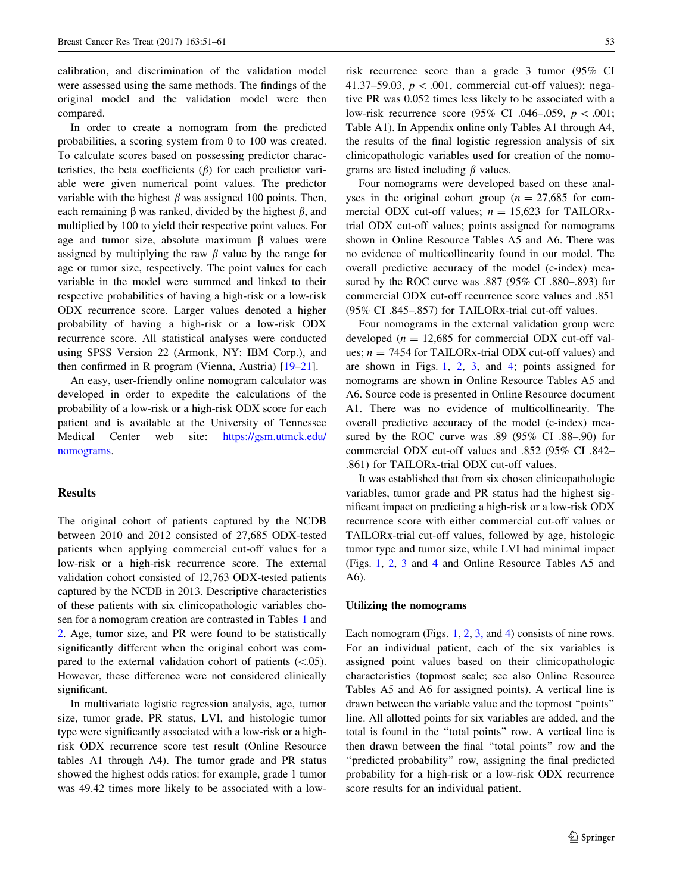calibration, and discrimination of the validation model were assessed using the same methods. The findings of the original model and the validation model were then compared.

In order to create a nomogram from the predicted probabilities, a scoring system from 0 to 100 was created. To calculate scores based on possessing predictor characteristics, the beta coefficients  $(\beta)$  for each predictor variable were given numerical point values. The predictor variable with the highest  $\beta$  was assigned 100 points. Then, each remaining  $\beta$  was ranked, divided by the highest  $\beta$ , and multiplied by 100 to yield their respective point values. For age and tumor size, absolute maximum  $\beta$  values were assigned by multiplying the raw  $\beta$  value by the range for age or tumor size, respectively. The point values for each variable in the model were summed and linked to their respective probabilities of having a high-risk or a low-risk ODX recurrence score. Larger values denoted a higher probability of having a high-risk or a low-risk ODX recurrence score. All statistical analyses were conducted using SPSS Version 22 (Armonk, NY: IBM Corp.), and then confirmed in R program (Vienna, Austria) [\[19–21](#page-9-0)].

An easy, user-friendly online nomogram calculator was developed in order to expedite the calculations of the probability of a low-risk or a high-risk ODX score for each patient and is available at the University of Tennessee Medical Center web site: [https://gsm.utmck.edu/](https://gsm.utmck.edu/nomograms) [nomograms](https://gsm.utmck.edu/nomograms).

# Results

The original cohort of patients captured by the NCDB between 2010 and 2012 consisted of 27,685 ODX-tested patients when applying commercial cut-off values for a low-risk or a high-risk recurrence score. The external validation cohort consisted of 12,763 ODX-tested patients captured by the NCDB in 2013. Descriptive characteristics of these patients with six clinicopathologic variables chosen for a nomogram creation are contrasted in Tables [1](#page-3-0) and [2](#page-4-0). Age, tumor size, and PR were found to be statistically significantly different when the original cohort was compared to the external validation cohort of patients  $(\leq 0.05)$ . However, these difference were not considered clinically significant.

In multivariate logistic regression analysis, age, tumor size, tumor grade, PR status, LVI, and histologic tumor type were significantly associated with a low-risk or a highrisk ODX recurrence score test result (Online Resource tables A1 through A4). The tumor grade and PR status showed the highest odds ratios: for example, grade 1 tumor was 49.42 times more likely to be associated with a lowrisk recurrence score than a grade 3 tumor (95% CI 41.37–59.03,  $p < .001$ , commercial cut-off values); negative PR was 0.052 times less likely to be associated with a low-risk recurrence score (95% CI .046–.059,  $p < .001$ ; Table A1). In Appendix online only Tables A1 through A4, the results of the final logistic regression analysis of six clinicopathologic variables used for creation of the nomograms are listed including  $\beta$  values.

Four nomograms were developed based on these analyses in the original cohort group ( $n = 27,685$  for commercial ODX cut-off values;  $n = 15,623$  for TAILORxtrial ODX cut-off values; points assigned for nomograms shown in Online Resource Tables A5 and A6. There was no evidence of multicollinearity found in our model. The overall predictive accuracy of the model (c-index) measured by the ROC curve was .887 (95% CI .880–.893) for commercial ODX cut-off recurrence score values and .851 (95% CI .845–.857) for TAILORx-trial cut-off values.

Four nomograms in the external validation group were developed ( $n = 12,685$  for commercial ODX cut-off values;  $n = 7454$  for TAILORx-trial ODX cut-off values) and are shown in Figs. [1](#page-5-0), [2](#page-6-0), [3](#page-7-0), and [4;](#page-8-0) points assigned for nomograms are shown in Online Resource Tables A5 and A6. Source code is presented in Online Resource document A1. There was no evidence of multicollinearity. The overall predictive accuracy of the model (c-index) measured by the ROC curve was .89 (95% CI .88–.90) for commercial ODX cut-off values and .852 (95% CI .842– .861) for TAILORx-trial ODX cut-off values.

It was established that from six chosen clinicopathologic variables, tumor grade and PR status had the highest significant impact on predicting a high-risk or a low-risk ODX recurrence score with either commercial cut-off values or TAILORx-trial cut-off values, followed by age, histologic tumor type and tumor size, while LVI had minimal impact (Figs. [1](#page-5-0), [2,](#page-6-0) [3](#page-7-0) and [4](#page-8-0) and Online Resource Tables A5 and A6).

#### Utilizing the nomograms

Each nomogram (Figs. [1,](#page-5-0) [2,](#page-6-0) [3,](#page-7-0) and [4](#page-8-0)) consists of nine rows. For an individual patient, each of the six variables is assigned point values based on their clinicopathologic characteristics (topmost scale; see also Online Resource Tables A5 and A6 for assigned points). A vertical line is drawn between the variable value and the topmost ''points'' line. All allotted points for six variables are added, and the total is found in the ''total points'' row. A vertical line is then drawn between the final ''total points'' row and the "predicted probability" row, assigning the final predicted probability for a high-risk or a low-risk ODX recurrence score results for an individual patient.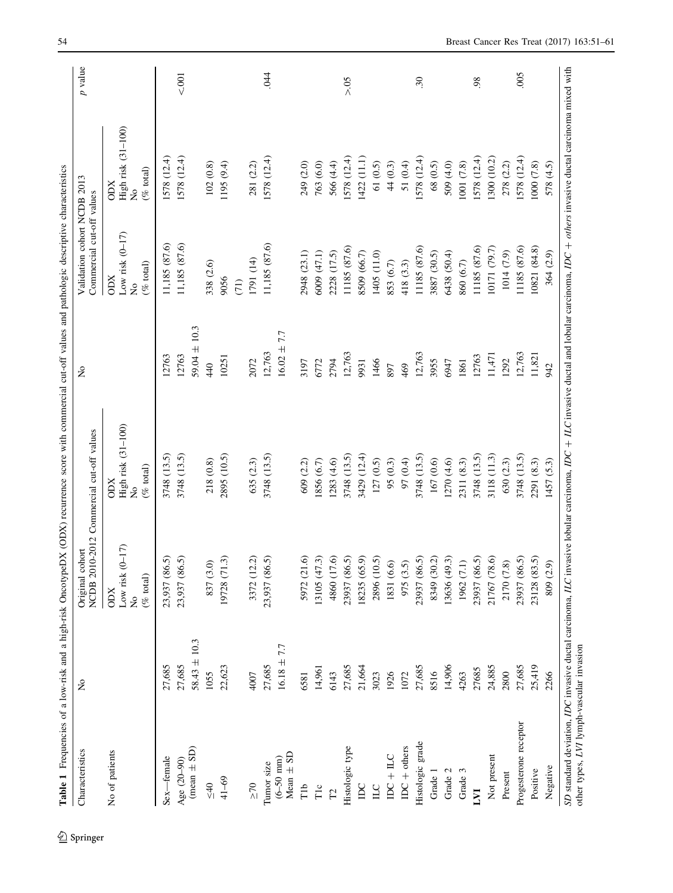<span id="page-3-0"></span>

| Characteristics                | $\tilde{z}$      | Original cohort                                                  | NCDB 2010-2012 Commercial cut-off values                            | $\mathsf{S}^{\mathsf{o}}$ | Validation cohort NCDB 2013<br>Commercial cut-off values         |                                                        | $p$ value       |
|--------------------------------|------------------|------------------------------------------------------------------|---------------------------------------------------------------------|---------------------------|------------------------------------------------------------------|--------------------------------------------------------|-----------------|
| No of patients                 |                  | Low risk $(0-17)$<br>$(\%$ total)<br><b>ODX</b><br>$\frac{1}{2}$ | High risk (31-100)<br>$(\%$ total)<br><b>CODX</b><br>$\overline{R}$ |                           | Low risk $(0-17)$<br>$(\%$ total)<br><b>ODX</b><br>$\frac{1}{2}$ | High risk (31-100)<br>No<br>$(\%$ total)<br><b>ODX</b> |                 |
| Sex-female                     | 27,685           | 23,937 (86.5)                                                    | 3748 (13.5)                                                         | 12763                     | 11,185 (87.6)                                                    | 1578 (12.4)                                            |                 |
| Age (20-90)                    | 27,685           | 23,937 (86.5)                                                    | 3748 (13.5)                                                         | 12763                     | 11,185 (87.6)                                                    | 1578 (12.4)                                            | $<001$          |
| $(mean \pm SD)$                | $58.43 \pm 10.3$ |                                                                  |                                                                     | $59.04 \pm 10.3$          |                                                                  |                                                        |                 |
| $rac{40}{3}$                   | 1055             | 837 (3.0)                                                        | 218 (0.8)                                                           | 440                       | 338 (2.6)                                                        | 102(0.8)                                               |                 |
| $41 - 69$                      | 22,623           | 19728 (71.3)                                                     | 2895 (10.5)                                                         | 10251                     | 9056<br>(71)                                                     | 1195 (9.4)                                             |                 |
|                                |                  |                                                                  |                                                                     | 2072                      |                                                                  |                                                        |                 |
| Tumor size<br>$\geq 70$        | 27,685<br>4007   | 3372 (12.2)<br>23,937 (86.5)                                     | 3748 (13.5)<br>635 (2.3)                                            | 12,763                    | 11,185 (87.6)<br>1791 (14)                                       | 1578(12.4)<br>281 (2.2)                                | 044             |
| Mean $\pm$ SD<br>$(6 - 50$ mm) | $16.18 \pm 7.7$  |                                                                  |                                                                     | $16.02 \pm 7.7$           |                                                                  |                                                        |                 |
| Гlb                            | 6581             | 5972 (21.6)                                                      | 609 (2.2)                                                           | 3197                      | 2948 (23.1)                                                      | 249 (2.0)                                              |                 |
| Tιc                            | 14,961           | 13105 (47.3)                                                     | (6.7) 9581                                                          | 6772                      | 6009 (47.1)                                                      | 763 (6.0)                                              |                 |
| $\Gamma$                       | 6143             | 4860 (17.6)                                                      | (283(4.6)                                                           | 2794                      | 2228 (17.5)                                                      | 566 (4.4)                                              |                 |
| Histologic type                | 27,685           | 23937 (86.5)                                                     | 3748 (13.5)                                                         | 12,763                    | 11185 (87.6)                                                     | 1578(12.4)                                             | > 0.5           |
| DC                             | 21,664           | 18235 (65.9)                                                     | 3429 (12.4)                                                         | 9931                      | 8509 (66.7)                                                      | 1422(11.1)                                             |                 |
| $\Box$                         | 3023             | 2896 (10.5)                                                      | 127(0.5)                                                            | 1466                      | 1405 (11.0)                                                      | 61 (0.5)                                               |                 |
| $\text{IDC} + \text{ILC}$      | 1926             | 1831 (6.6)                                                       | 95 (0.3)                                                            | 897                       | 853 (6.7)                                                        | 44 (0.3)                                               |                 |
| $DC + others$                  | 1072             | 975 (3.5)                                                        | 97 (0.4)                                                            | 469                       | 418 (3.3)                                                        | 51 (0.4)                                               |                 |
| Histologic grade               | 27,685           | 23937 (86.5)                                                     | 3748 (13.5)                                                         | 12,763                    | 11185 (87.6)                                                     | 1578 (12.4)                                            | $\overline{30}$ |
| Grade 1                        | 8516             | 8349 (30.2)                                                      | 167 (0.6)                                                           | 3955                      | 3887 (30.5)                                                      | 68 (0.5)                                               |                 |
| Grade 2                        | 14,906           | 13636 (49.3)<br>1962 (7.1)                                       | 1270(4.6)                                                           | 6947                      | 6438 (50.4)                                                      | 509 (4.0)                                              |                 |
| Grade 3                        | 4263             |                                                                  | 2311 (8.3)                                                          | 1861                      | 860 (6.7)                                                        | 1001 (7.8)                                             |                 |
| LVI                            | 27685            | 23937 (86.5)                                                     | 3748 (13.5)                                                         | 12763                     | 11185 (87.6)                                                     | 578 (12.4)                                             | 98              |
| Not present                    | 24,885           | 21767 (78.6)                                                     | 3118 (11.3)                                                         | 11,471                    | 10171 (79.7)                                                     | (300)(10.2)                                            |                 |
| Present                        | 2800             | 2170 (7.8)                                                       | 630 (2.3)                                                           | 1292                      | 1014 (7.9)                                                       | 278 (2.2)                                              |                 |
| Progesterone receptor          | 27,685           | 23937 (86.5)                                                     | 3748 (13.5)                                                         | 12,763                    | 11185 (87.6)                                                     | 1578(12.4)                                             | 005             |
| Positive                       | 25,419           | 23128 (83.5)                                                     | 2291 (8.3)                                                          | 11,821                    | 10821 (84.8)                                                     | 1000 (7.8)                                             |                 |
| Negative                       | 2266             | 809 (2.9)                                                        | 1457 (5.3)                                                          | 942                       | 364 (2.9)                                                        | 578 (4.5)                                              |                 |

 $\underline{\textcircled{\tiny 2}}$  Springer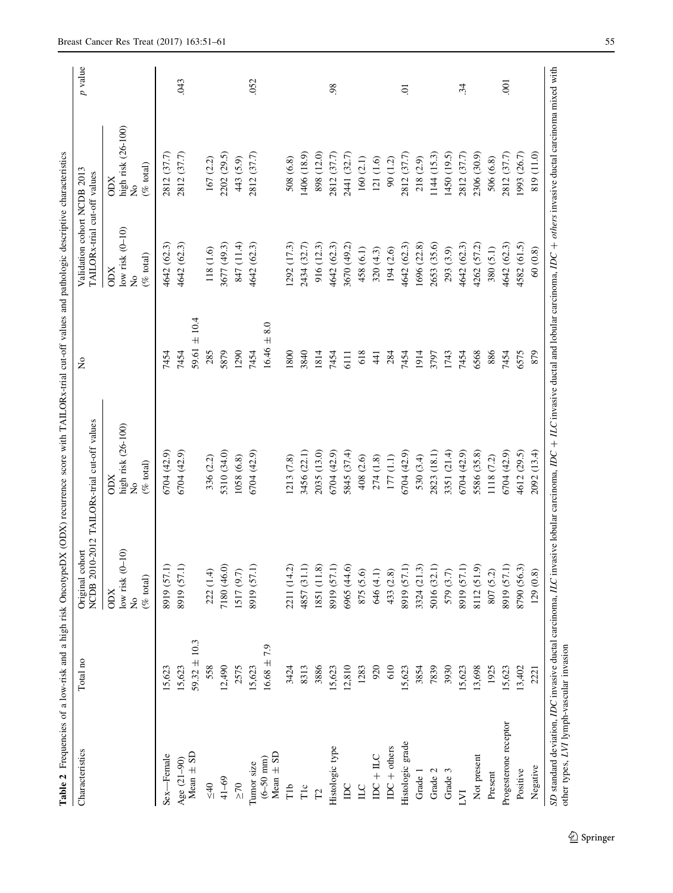<span id="page-4-0"></span>

| Characteristics              | Total no         | Original cohort                                      | NCDB 2010-2012 TAILORx-trial cut-off values                         | $\mathsf{S}^{\mathsf{O}}$      | Validation cohort NCDB 2013<br>TAILORx-trial cut-off values                        |                                                                              | $p$ value      |
|------------------------------|------------------|------------------------------------------------------|---------------------------------------------------------------------|--------------------------------|------------------------------------------------------------------------------------|------------------------------------------------------------------------------|----------------|
|                              |                  | low risk $(0-10)$<br>$(\%$ total)<br><b>ODX</b><br>ž | high risk (26-100)<br>$(\%$ total)<br><b>CODX</b><br>$\overline{R}$ |                                | low risk $(0-10)$<br>$(\% \text{ total})$<br><b>ODX</b><br>$\overline{\mathsf{z}}$ | high risk (26-100)<br>$(\%$ total)<br><b>NCIO</b><br>$\overline{\mathsf{z}}$ |                |
| Sex-Female                   | 15,623           | 8919 (57.1)                                          | 6704 (42.9)                                                         | 7454                           | 4642 (62.3)                                                                        | 2812 (37.7)                                                                  |                |
| Age (21-90)                  | 15,623           | 8919 (57.1)                                          | 6704 (42.9)                                                         | 7454                           | 4642 (62.3)                                                                        | 2812 (37.7)                                                                  | <b>CHO</b>     |
| Mean $\pm$ SD                | $59.32 \pm 10.3$ |                                                      |                                                                     | 59.61 $\pm$ 10.4               |                                                                                    |                                                                              |                |
| $rac{40}{3}$                 | 558              | 222 (1.4)                                            | 336 (2.2)                                                           | 285                            | 118 (1.6)                                                                          | 167 (2.2)                                                                    |                |
| $41 - 69$                    | 12,490           | 7180 (46.0)                                          | 5310 (34.0)                                                         | 5879                           | 3677 (49.3)                                                                        | 2202 (29.5)                                                                  |                |
| $\geq 70$                    | 2575             | 1517 (9.7)                                           | 1058 (6.8)                                                          | 1290                           | 847 (11.4)                                                                         | 443 (5.9)                                                                    |                |
| Tumor size                   | 15,623           | 8919 (57.1)                                          | 6704 (42.9)                                                         | 7454                           | 4642 (62.3)                                                                        | (37.7)<br>2812                                                               | 052            |
| Mean $\pm$ SD<br>$(6-50$ mm) | $16.68 \pm 7.9$  |                                                      |                                                                     | 8.0<br>$\overline{+}$<br>16.46 |                                                                                    |                                                                              |                |
| TЪ                           | 3424             | 2211 (14.2)                                          | 1213(7.8)                                                           | 1800                           | 1292 (17.3)                                                                        | 508 (6.8)                                                                    |                |
| T1c                          | 8313             | 4857 (31.1)                                          | 3456 (22.1)                                                         | 3840                           | 2434 (32.7)                                                                        | 1406 (18.9)                                                                  |                |
| $\Gamma$                     | 3886             | 1851 (11.8)                                          | (13.0)<br>2035                                                      | 1814                           | 916 (12.3)                                                                         | (12.0)<br>898                                                                |                |
| Histologic type              | 15,623           | 8919 (57.1)                                          | 6704 (42.9)                                                         | 7454                           | 4642 (62.3)                                                                        | (37.7)<br>2812                                                               | 98             |
| $D_{\rm C}$                  | 12,810           | 6965 (44.6)                                          | 5845 (37.4)                                                         | 6111                           | 3670 (49.2)                                                                        | 2441 (32.7)                                                                  |                |
| $\square$                    | 1283             | 875 (5.6)                                            | 408 (2.6)                                                           | 618                            | 458 (6.1)                                                                          | 160(2.1)                                                                     |                |
| $IDC + ILC$                  | 920              | 646 (4.1)                                            | 274 (1.8)                                                           | 41                             | 320(4.3)                                                                           | (1.6)<br>121                                                                 |                |
| $\text{IDC}$ + others        | 610              | 433 (2.8)                                            | 177(1.1)                                                            | 284                            | 194 (2.6)                                                                          | (1.2)<br>$\infty$                                                            |                |
| Histologic grade             | 15,623           | 8919 (57.1)                                          | 6704 (42.9)                                                         | 7454                           | 4642 (62.3)                                                                        | 2812 (37.7)                                                                  | Ξ.             |
| Grade 1                      | 3854             | 3324 (21.3)                                          | 530 (3.4)                                                           | 1914                           | 1696 (22.8)                                                                        | 218 (2.9)                                                                    |                |
| Grade 2                      | 7839             | 5016 (32.1)                                          | 2823 (18.1)                                                         | 3797                           | 2653 (35.6)                                                                        | 1144(15.3)                                                                   |                |
| Grade 3                      | 3930             | 579 (3.7)                                            | 3351 (21.4)                                                         | 1743                           | 293 (3.9)                                                                          | 1450 (19.5)                                                                  |                |
| LVI                          | 15,623           | 8919 (57.1)                                          | (42.9)<br>6704                                                      | 7454                           | 4642 (62.3)                                                                        | 2812 (37.7)                                                                  | 34             |
| Not present                  | 13,698           | 8112 (51.9)                                          | 5586 (35.8)                                                         | 6568                           | 4262 (57.2)                                                                        | 2306 (30.9)                                                                  |                |
| Present                      | 1925             | 807 (5.2)                                            | 1118 (7.2)                                                          | 886                            | 380 (5.1)                                                                          | 506 (6.8)                                                                    |                |
| Progesterone receptor        | 15,623           | 8919 (57.1)                                          | 6704 (42.9)                                                         | 7454                           | 4642 (62.3)                                                                        | 2812 (37.7)                                                                  | $\overline{0}$ |
| Positive                     | 13,402           | 8790 (56.3)                                          | 4612 (29.5)                                                         | 6575                           | 4582 (61.5)                                                                        | 1993 (26.7)                                                                  |                |
| Negative                     | 2221             | 129(0.8)                                             | 2092 (13.4)                                                         | 879                            | 60(0.8)                                                                            | 819 (11.0)                                                                   |                |

 $2$  Springer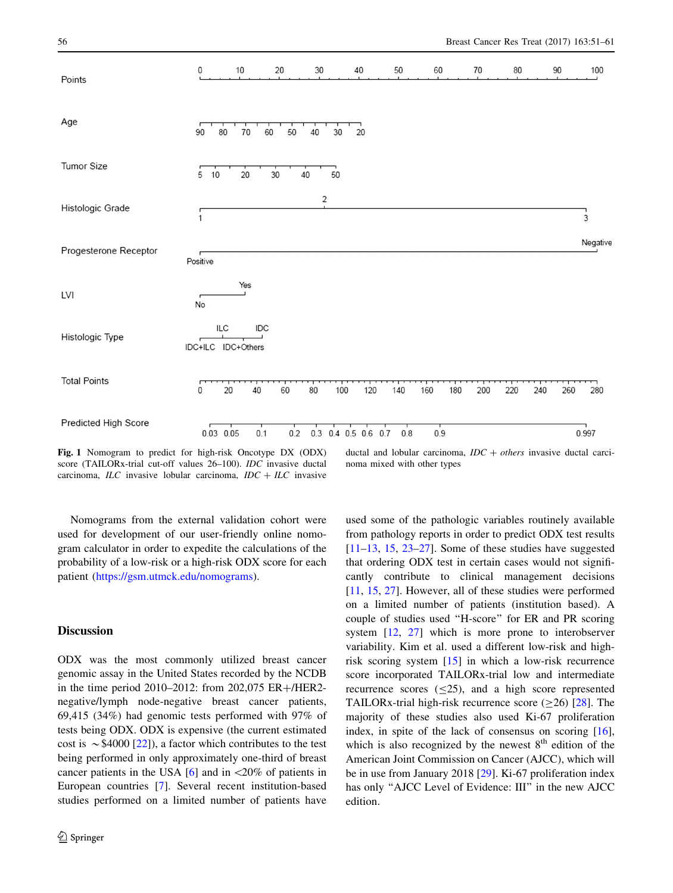<span id="page-5-0"></span>

Fig. 1 Nomogram to predict for high-risk Oncotype DX (ODX) score (TAILORx-trial cut-off values 26–100). IDC invasive ductal carcinoma,  $ILC$  invasive lobular carcinoma,  $IDC + ILC$  invasive

ductal and lobular carcinoma,  $IDC + others$  invasive ductal carcinoma mixed with other types

Nomograms from the external validation cohort were used for development of our user-friendly online nomogram calculator in order to expedite the calculations of the probability of a low-risk or a high-risk ODX score for each patient [\(https://gsm.utmck.edu/nomograms](https://gsm.utmck.edu/nomograms)).

# **Discussion**

ODX was the most commonly utilized breast cancer genomic assay in the United States recorded by the NCDB in the time period 2010–2012: from 202,075  $ER + / HER2$ negative/lymph node-negative breast cancer patients, 69,415 (34%) had genomic tests performed with 97% of tests being ODX. ODX is expensive (the current estimated cost is  $\sim$  \$4000 [[22\]](#page-9-0)), a factor which contributes to the test being performed in only approximately one-third of breast cancer patients in the USA  $[6]$  $[6]$  and in  $\langle 20\%$  of patients in European countries [\[7](#page-9-0)]. Several recent institution-based studies performed on a limited number of patients have

used some of the pathologic variables routinely available from pathology reports in order to predict ODX test results  $[11–13, 15, 23–27]$  $[11–13, 15, 23–27]$  $[11–13, 15, 23–27]$  $[11–13, 15, 23–27]$  $[11–13, 15, 23–27]$ . Some of these studies have suggested that ordering ODX test in certain cases would not significantly contribute to clinical management decisions [\[11](#page-9-0), [15,](#page-9-0) [27](#page-9-0)]. However, all of these studies were performed on a limited number of patients (institution based). A couple of studies used ''H-score'' for ER and PR scoring system [[12,](#page-9-0) [27](#page-9-0)] which is more prone to interobserver variability. Kim et al. used a different low-risk and highrisk scoring system [\[15](#page-9-0)] in which a low-risk recurrence score incorporated TAILORx-trial low and intermediate recurrence scores  $(\leq 25)$ , and a high score represented TAILORx-trial high-risk recurrence score  $(\geq 26)$  [[28\]](#page-9-0). The majority of these studies also used Ki-67 proliferation index, in spite of the lack of consensus on scoring [\[16](#page-9-0)], which is also recognized by the newest  $8<sup>th</sup>$  edition of the American Joint Commission on Cancer (AJCC), which will be in use from January 2018 [\[29](#page-10-0)]. Ki-67 proliferation index has only "AJCC Level of Evidence: III" in the new AJCC edition.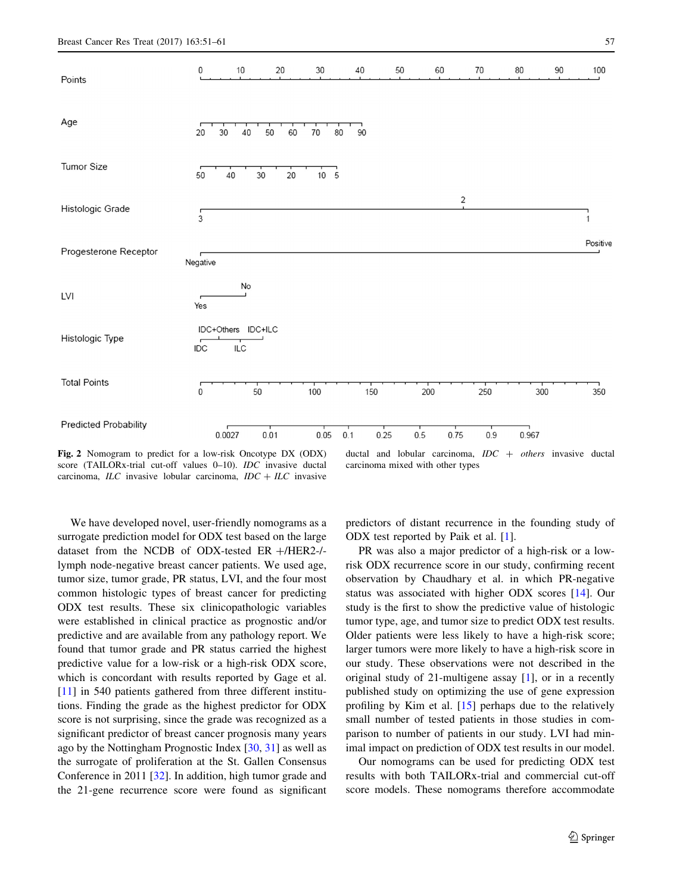<span id="page-6-0"></span>

Fig. 2 Nomogram to predict for a low-risk Oncotype DX (ODX) score (TAILORx-trial cut-off values 0–10). IDC invasive ductal carcinoma,  $ILC$  invasive lobular carcinoma,  $IDC + ILC$  invasive

ductal and lobular carcinoma,  $IDC + others$  invasive ductal carcinoma mixed with other types

We have developed novel, user-friendly nomograms as a surrogate prediction model for ODX test based on the large dataset from the NCDB of ODX-tested ER  $+/HER2-/$ lymph node-negative breast cancer patients. We used age, tumor size, tumor grade, PR status, LVI, and the four most common histologic types of breast cancer for predicting ODX test results. These six clinicopathologic variables were established in clinical practice as prognostic and/or predictive and are available from any pathology report. We found that tumor grade and PR status carried the highest predictive value for a low-risk or a high-risk ODX score, which is concordant with results reported by Gage et al. [\[11](#page-9-0)] in 540 patients gathered from three different institutions. Finding the grade as the highest predictor for ODX score is not surprising, since the grade was recognized as a significant predictor of breast cancer prognosis many years ago by the Nottingham Prognostic Index [\[30](#page-10-0), [31](#page-10-0)] as well as the surrogate of proliferation at the St. Gallen Consensus Conference in 2011 [[32\]](#page-10-0). In addition, high tumor grade and the 21-gene recurrence score were found as significant

predictors of distant recurrence in the founding study of ODX test reported by Paik et al. [\[1](#page-8-0)].

PR was also a major predictor of a high-risk or a lowrisk ODX recurrence score in our study, confirming recent observation by Chaudhary et al. in which PR-negative status was associated with higher ODX scores [[14\]](#page-9-0). Our study is the first to show the predictive value of histologic tumor type, age, and tumor size to predict ODX test results. Older patients were less likely to have a high-risk score; larger tumors were more likely to have a high-risk score in our study. These observations were not described in the original study of 21-multigene assay [\[1](#page-8-0)], or in a recently published study on optimizing the use of gene expression profiling by Kim et al. [\[15\]](#page-9-0) perhaps due to the relatively small number of tested patients in those studies in comparison to number of patients in our study. LVI had minimal impact on prediction of ODX test results in our model.

Our nomograms can be used for predicting ODX test results with both TAILORx-trial and commercial cut-off score models. These nomograms therefore accommodate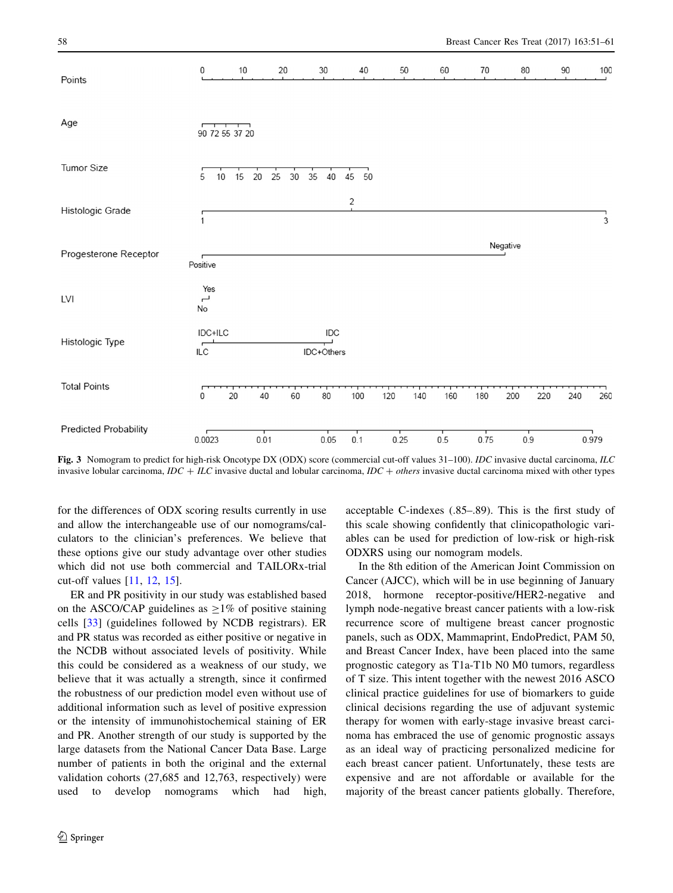<span id="page-7-0"></span>

Fig. 3 Nomogram to predict for high-risk Oncotype DX (ODX) score (commercial cut-off values 31–100). IDC invasive ductal carcinoma, ILC invasive lobular carcinoma,  $IDC + ILC$  invasive ductal and lobular carcinoma,  $IDC + others$  invasive ductal carcinoma mixed with other types

for the differences of ODX scoring results currently in use and allow the interchangeable use of our nomograms/calculators to the clinician's preferences. We believe that these options give our study advantage over other studies which did not use both commercial and TAILORx-trial cut-off values [[11,](#page-9-0) [12,](#page-9-0) [15](#page-9-0)].

ER and PR positivity in our study was established based on the ASCO/CAP guidelines as  $\geq$ 1% of positive staining cells [[33\]](#page-10-0) (guidelines followed by NCDB registrars). ER and PR status was recorded as either positive or negative in the NCDB without associated levels of positivity. While this could be considered as a weakness of our study, we believe that it was actually a strength, since it confirmed the robustness of our prediction model even without use of additional information such as level of positive expression or the intensity of immunohistochemical staining of ER and PR. Another strength of our study is supported by the large datasets from the National Cancer Data Base. Large number of patients in both the original and the external validation cohorts (27,685 and 12,763, respectively) were used to develop nomograms which had high,

acceptable C-indexes (.85–.89). This is the first study of this scale showing confidently that clinicopathologic variables can be used for prediction of low-risk or high-risk ODXRS using our nomogram models.

In the 8th edition of the American Joint Commission on Cancer (AJCC), which will be in use beginning of January 2018, hormone receptor-positive/HER2-negative and lymph node-negative breast cancer patients with a low-risk recurrence score of multigene breast cancer prognostic panels, such as ODX, Mammaprint, EndoPredict, PAM 50, and Breast Cancer Index, have been placed into the same prognostic category as T1a-T1b N0 M0 tumors, regardless of T size. This intent together with the newest 2016 ASCO clinical practice guidelines for use of biomarkers to guide clinical decisions regarding the use of adjuvant systemic therapy for women with early-stage invasive breast carcinoma has embraced the use of genomic prognostic assays as an ideal way of practicing personalized medicine for each breast cancer patient. Unfortunately, these tests are expensive and are not affordable or available for the majority of the breast cancer patients globally. Therefore,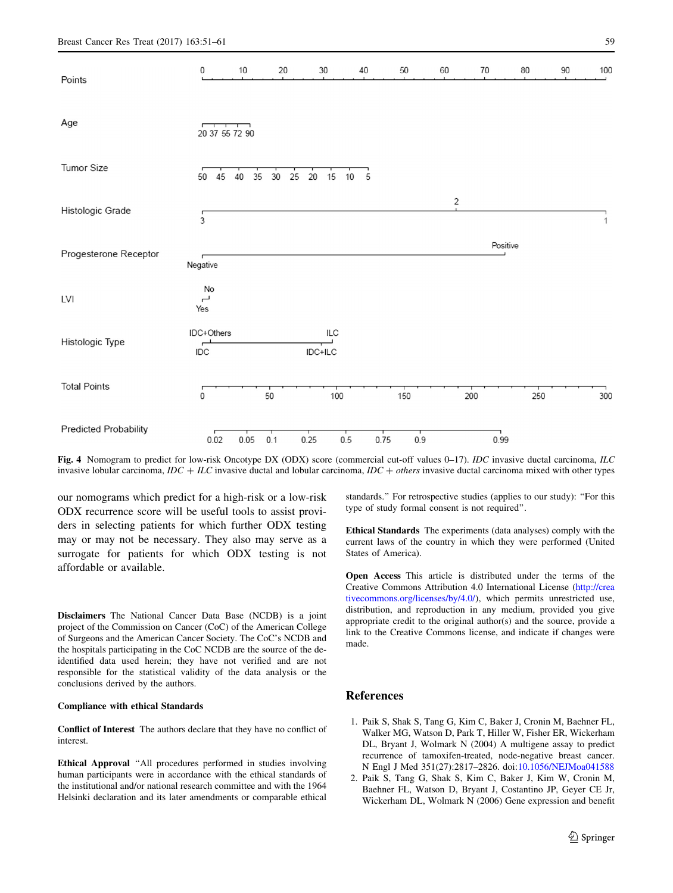<span id="page-8-0"></span>

Fig. 4 Nomogram to predict for low-risk Oncotype DX (ODX) score (commercial cut-off values 0–17). *IDC* invasive ductal carcinoma, *ILC* invasive lobular carcinoma,  $IDC + ILC$  invasive ductal and lobular carcinoma,  $IDC + others$  invasive ductal carcinoma mixed with other types

our nomograms which predict for a high-risk or a low-risk ODX recurrence score will be useful tools to assist providers in selecting patients for which further ODX testing may or may not be necessary. They also may serve as a surrogate for patients for which ODX testing is not affordable or available.

Disclaimers The National Cancer Data Base (NCDB) is a joint project of the Commission on Cancer (CoC) of the American College of Surgeons and the American Cancer Society. The CoC's NCDB and the hospitals participating in the CoC NCDB are the source of the deidentified data used herein; they have not verified and are not responsible for the statistical validity of the data analysis or the conclusions derived by the authors.

#### Compliance with ethical Standards

Conflict of Interest The authors declare that they have no conflict of interest.

Ethical Approval ''All procedures performed in studies involving human participants were in accordance with the ethical standards of the institutional and/or national research committee and with the 1964 Helsinki declaration and its later amendments or comparable ethical standards.'' For retrospective studies (applies to our study): ''For this type of study formal consent is not required''.

Ethical Standards The experiments (data analyses) comply with the current laws of the country in which they were performed (United States of America).

Open Access This article is distributed under the terms of the Creative Commons Attribution 4.0 International License ([http://crea](http://creativecommons.org/licenses/by/4.0/) [tivecommons.org/licenses/by/4.0/\)](http://creativecommons.org/licenses/by/4.0/), which permits unrestricted use, distribution, and reproduction in any medium, provided you give appropriate credit to the original author(s) and the source, provide a link to the Creative Commons license, and indicate if changes were made.

## References

- 1. Paik S, Shak S, Tang G, Kim C, Baker J, Cronin M, Baehner FL, Walker MG, Watson D, Park T, Hiller W, Fisher ER, Wickerham DL, Bryant J, Wolmark N (2004) A multigene assay to predict recurrence of tamoxifen-treated, node-negative breast cancer. N Engl J Med 351(27):2817–2826. doi[:10.1056/NEJMoa041588](http://dx.doi.org/10.1056/NEJMoa041588)
- 2. Paik S, Tang G, Shak S, Kim C, Baker J, Kim W, Cronin M, Baehner FL, Watson D, Bryant J, Costantino JP, Geyer CE Jr, Wickerham DL, Wolmark N (2006) Gene expression and benefit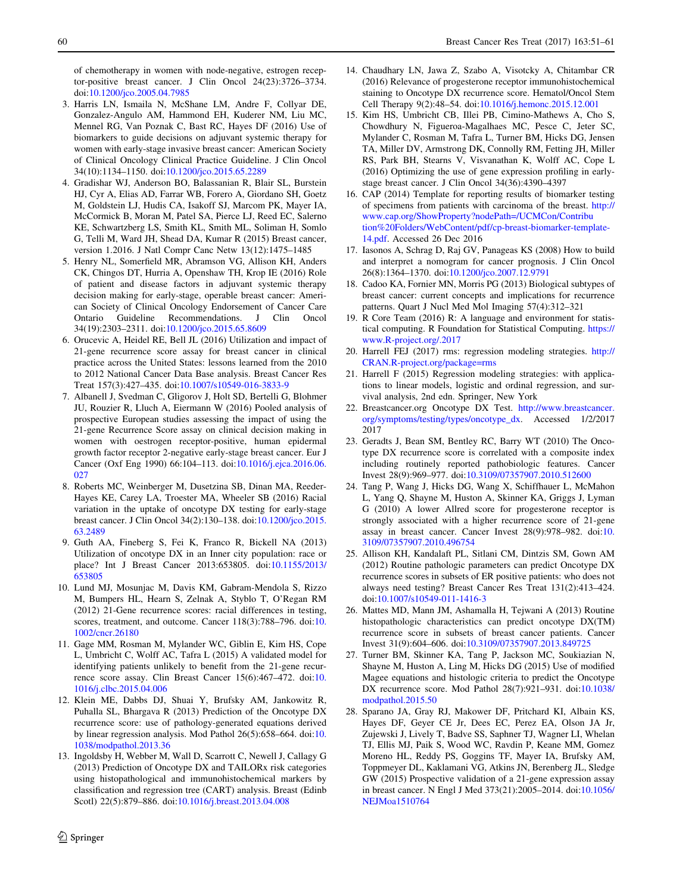<span id="page-9-0"></span>of chemotherapy in women with node-negative, estrogen receptor-positive breast cancer. J Clin Oncol 24(23):3726–3734. doi:[10.1200/jco.2005.04.7985](http://dx.doi.org/10.1200/jco.2005.04.7985)

- 3. Harris LN, Ismaila N, McShane LM, Andre F, Collyar DE, Gonzalez-Angulo AM, Hammond EH, Kuderer NM, Liu MC, Mennel RG, Van Poznak C, Bast RC, Hayes DF (2016) Use of biomarkers to guide decisions on adjuvant systemic therapy for women with early-stage invasive breast cancer: American Society of Clinical Oncology Clinical Practice Guideline. J Clin Oncol 34(10):1134–1150. doi:[10.1200/jco.2015.65.2289](http://dx.doi.org/10.1200/jco.2015.65.2289)
- 4. Gradishar WJ, Anderson BO, Balassanian R, Blair SL, Burstein HJ, Cyr A, Elias AD, Farrar WB, Forero A, Giordano SH, Goetz M, Goldstein LJ, Hudis CA, Isakoff SJ, Marcom PK, Mayer IA, McCormick B, Moran M, Patel SA, Pierce LJ, Reed EC, Salerno KE, Schwartzberg LS, Smith KL, Smith ML, Soliman H, Somlo G, Telli M, Ward JH, Shead DA, Kumar R (2015) Breast cancer, version 1.2016. J Natl Compr Canc Netw 13(12):1475–1485
- 5. Henry NL, Somerfield MR, Abramson VG, Allison KH, Anders CK, Chingos DT, Hurria A, Openshaw TH, Krop IE (2016) Role of patient and disease factors in adjuvant systemic therapy decision making for early-stage, operable breast cancer: American Society of Clinical Oncology Endorsement of Cancer Care Ontario Guideline Recommendations. J Clin Oncol 34(19):2303–2311. doi:[10.1200/jco.2015.65.8609](http://dx.doi.org/10.1200/jco.2015.65.8609)
- 6. Orucevic A, Heidel RE, Bell JL (2016) Utilization and impact of 21-gene recurrence score assay for breast cancer in clinical practice across the United States: lessons learned from the 2010 to 2012 National Cancer Data Base analysis. Breast Cancer Res Treat 157(3):427–435. doi[:10.1007/s10549-016-3833-9](http://dx.doi.org/10.1007/s10549-016-3833-9)
- 7. Albanell J, Svedman C, Gligorov J, Holt SD, Bertelli G, Blohmer JU, Rouzier R, Lluch A, Eiermann W (2016) Pooled analysis of prospective European studies assessing the impact of using the 21-gene Recurrence Score assay on clinical decision making in women with oestrogen receptor-positive, human epidermal growth factor receptor 2-negative early-stage breast cancer. Eur J Cancer (Oxf Eng 1990) 66:104–113. doi[:10.1016/j.ejca.2016.06.](http://dx.doi.org/10.1016/j.ejca.2016.06.027) [027](http://dx.doi.org/10.1016/j.ejca.2016.06.027)
- 8. Roberts MC, Weinberger M, Dusetzina SB, Dinan MA, Reeder-Hayes KE, Carey LA, Troester MA, Wheeler SB (2016) Racial variation in the uptake of oncotype DX testing for early-stage breast cancer. J Clin Oncol 34(2):130–138. doi:[10.1200/jco.2015.](http://dx.doi.org/10.1200/jco.2015.63.2489) [63.2489](http://dx.doi.org/10.1200/jco.2015.63.2489)
- 9. Guth AA, Fineberg S, Fei K, Franco R, Bickell NA (2013) Utilization of oncotype DX in an Inner city population: race or place? Int J Breast Cancer 2013:653805. doi:[10.1155/2013/](http://dx.doi.org/10.1155/2013/653805) [653805](http://dx.doi.org/10.1155/2013/653805)
- 10. Lund MJ, Mosunjac M, Davis KM, Gabram-Mendola S, Rizzo M, Bumpers HL, Hearn S, Zelnak A, Styblo T, O'Regan RM (2012) 21-Gene recurrence scores: racial differences in testing, scores, treatment, and outcome. Cancer 118(3):788–796. doi:[10.](http://dx.doi.org/10.1002/cncr.26180) [1002/cncr.26180](http://dx.doi.org/10.1002/cncr.26180)
- 11. Gage MM, Rosman M, Mylander WC, Giblin E, Kim HS, Cope L, Umbricht C, Wolff AC, Tafra L (2015) A validated model for identifying patients unlikely to benefit from the 21-gene recurrence score assay. Clin Breast Cancer 15(6):467–472. doi:[10.](http://dx.doi.org/10.1016/j.clbc.2015.04.006) [1016/j.clbc.2015.04.006](http://dx.doi.org/10.1016/j.clbc.2015.04.006)
- 12. Klein ME, Dabbs DJ, Shuai Y, Brufsky AM, Jankowitz R, Puhalla SL, Bhargava R (2013) Prediction of the Oncotype DX recurrence score: use of pathology-generated equations derived by linear regression analysis. Mod Pathol 26(5):658–664. doi:[10.](http://dx.doi.org/10.1038/modpathol.2013.36) [1038/modpathol.2013.36](http://dx.doi.org/10.1038/modpathol.2013.36)
- 13. Ingoldsby H, Webber M, Wall D, Scarrott C, Newell J, Callagy G (2013) Prediction of Oncotype DX and TAILORx risk categories using histopathological and immunohistochemical markers by classification and regression tree (CART) analysis. Breast (Edinb Scotl) 22(5):879–886. doi[:10.1016/j.breast.2013.04.008](http://dx.doi.org/10.1016/j.breast.2013.04.008)
- 14. Chaudhary LN, Jawa Z, Szabo A, Visotcky A, Chitambar CR (2016) Relevance of progesterone receptor immunohistochemical staining to Oncotype DX recurrence score. Hematol/Oncol Stem Cell Therapy 9(2):48–54. doi:[10.1016/j.hemonc.2015.12.001](http://dx.doi.org/10.1016/j.hemonc.2015.12.001)
- 15. Kim HS, Umbricht CB, Illei PB, Cimino-Mathews A, Cho S, Chowdhury N, Figueroa-Magalhaes MC, Pesce C, Jeter SC, Mylander C, Rosman M, Tafra L, Turner BM, Hicks DG, Jensen TA, Miller DV, Armstrong DK, Connolly RM, Fetting JH, Miller RS, Park BH, Stearns V, Visvanathan K, Wolff AC, Cope L (2016) Optimizing the use of gene expression profiling in earlystage breast cancer. J Clin Oncol 34(36):4390–4397
- 16. CAP (2014) Template for reporting results of biomarker testing of specimens from patients with carcinoma of the breast. [http://](http://www.cap.org/ShowProperty%3fnodePath%3d/UCMCon/Contribution%20Folders/WebContent/pdf/cp-breast-biomarker-template-14.pdf) [www.cap.org/ShowProperty?nodePath=/UCMCon/Contribu](http://www.cap.org/ShowProperty%3fnodePath%3d/UCMCon/Contribution%20Folders/WebContent/pdf/cp-breast-biomarker-template-14.pdf) [tion%20Folders/WebContent/pdf/cp-breast-biomarker-template-](http://www.cap.org/ShowProperty%3fnodePath%3d/UCMCon/Contribution%20Folders/WebContent/pdf/cp-breast-biomarker-template-14.pdf)[14.pdf.](http://www.cap.org/ShowProperty%3fnodePath%3d/UCMCon/Contribution%20Folders/WebContent/pdf/cp-breast-biomarker-template-14.pdf) Accessed 26 Dec 2016
- 17. Iasonos A, Schrag D, Raj GV, Panageas KS (2008) How to build and interpret a nomogram for cancer prognosis. J Clin Oncol 26(8):1364–1370. doi:[10.1200/jco.2007.12.9791](http://dx.doi.org/10.1200/jco.2007.12.9791)
- 18. Cadoo KA, Fornier MN, Morris PG (2013) Biological subtypes of breast cancer: current concepts and implications for recurrence patterns. Quart J Nucl Med Mol Imaging 57(4):312–321
- 19. R Core Team (2016) R: A language and environment for statistical computing. R Foundation for Statistical Computing. [https://](https://www.R-project.org/.2017) [www.R-project.org/.2017](https://www.R-project.org/.2017)
- 20. Harrell FEJ (2017) rms: regression modeling strategies. [http://](http://CRAN.R-project.org/package%3drms) [CRAN.R-project.org/package=rms](http://CRAN.R-project.org/package%3drms)
- 21. Harrell F (2015) Regression modeling strategies: with applications to linear models, logistic and ordinal regression, and survival analysis, 2nd edn. Springer, New York
- 22. Breastcancer.org Oncotype DX Test. [http://www.breastcancer.](http://www.breastcancer.org/symptoms/testing/types/oncotype_dx) [org/symptoms/testing/types/oncotype\\_dx.](http://www.breastcancer.org/symptoms/testing/types/oncotype_dx) Accessed 1/2/2017 2017
- 23. Geradts J, Bean SM, Bentley RC, Barry WT (2010) The Oncotype DX recurrence score is correlated with a composite index including routinely reported pathobiologic features. Cancer Invest 28(9):969–977. doi:[10.3109/07357907.2010.512600](http://dx.doi.org/10.3109/07357907.2010.512600)
- 24. Tang P, Wang J, Hicks DG, Wang X, Schiffhauer L, McMahon L, Yang Q, Shayne M, Huston A, Skinner KA, Griggs J, Lyman G (2010) A lower Allred score for progesterone receptor is strongly associated with a higher recurrence score of 21-gene assay in breast cancer. Cancer Invest 28(9):978–982. doi:[10.](http://dx.doi.org/10.3109/07357907.2010.496754) [3109/07357907.2010.496754](http://dx.doi.org/10.3109/07357907.2010.496754)
- 25. Allison KH, Kandalaft PL, Sitlani CM, Dintzis SM, Gown AM (2012) Routine pathologic parameters can predict Oncotype DX recurrence scores in subsets of ER positive patients: who does not always need testing? Breast Cancer Res Treat 131(2):413–424. doi:[10.1007/s10549-011-1416-3](http://dx.doi.org/10.1007/s10549-011-1416-3)
- 26. Mattes MD, Mann JM, Ashamalla H, Tejwani A (2013) Routine histopathologic characteristics can predict oncotype DX(TM) recurrence score in subsets of breast cancer patients. Cancer Invest 31(9):604–606. doi:[10.3109/07357907.2013.849725](http://dx.doi.org/10.3109/07357907.2013.849725)
- 27. Turner BM, Skinner KA, Tang P, Jackson MC, Soukiazian N, Shayne M, Huston A, Ling M, Hicks DG (2015) Use of modified Magee equations and histologic criteria to predict the Oncotype DX recurrence score. Mod Pathol 28(7):921–931. doi[:10.1038/](http://dx.doi.org/10.1038/modpathol.2015.50) [modpathol.2015.50](http://dx.doi.org/10.1038/modpathol.2015.50)
- 28. Sparano JA, Gray RJ, Makower DF, Pritchard KI, Albain KS, Hayes DF, Geyer CE Jr, Dees EC, Perez EA, Olson JA Jr, Zujewski J, Lively T, Badve SS, Saphner TJ, Wagner LI, Whelan TJ, Ellis MJ, Paik S, Wood WC, Ravdin P, Keane MM, Gomez Moreno HL, Reddy PS, Goggins TF, Mayer IA, Brufsky AM, Toppmeyer DL, Kaklamani VG, Atkins JN, Berenberg JL, Sledge GW (2015) Prospective validation of a 21-gene expression assay in breast cancer. N Engl J Med 373(21):2005–2014. doi[:10.1056/](http://dx.doi.org/10.1056/NEJMoa1510764) [NEJMoa1510764](http://dx.doi.org/10.1056/NEJMoa1510764)